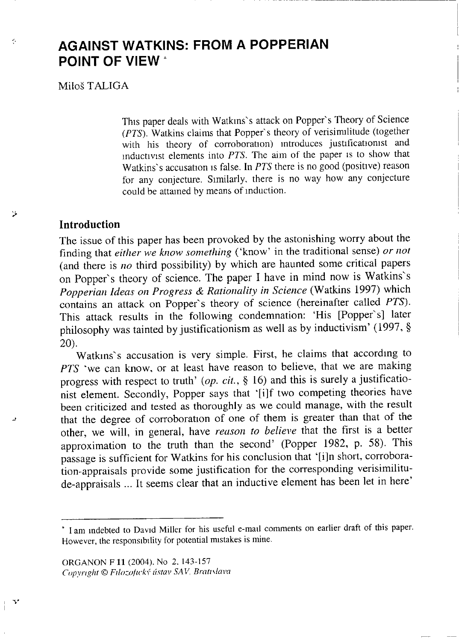# AGAINST WATKINS: FROM A POPPERIAN POINT OF VIEW \*

Miloš TALIGA

×,

٧

This paper deals with Watkins's attack on Popper's Theory of Science *(PTS).* Watkins claims that Popper's theory of verisimilitude (together with his theory of corroboration) introduces justificationist and mductivist elements into *PTS.* The aim of the paper is to show that Watkins"s accusation is false. In *PTS* there is no good (positive) reason for any conjecture. Similarly, there is no way how any conjecture could be attained by means of induction.

### **Introduction**

The issue of this paper has been provoked by the astonishing worry about the finding that *either we know something* ('know' in the traditional sense) *or not* (and there is *no* third possibility) by which are haunted some critical papers on Popper's theory of science. The paper I have in mind now is Watkins's *Popperian Ideas on Progress & Rationality in Science* (Watkins 1997) which contains an attack on Popper's theory of science (hereinafter called *PTS*). This attack results in the following condemnation: 'His [Popper's] later philosophy was tainted by justificationism as well as by inductivism' (1997, § 20).

Watkins's accusation is very simple. First, he claims that according to *PTS* 'we can know, or at least have reason to believe, that we are making progress with respect to truth' (op. cit., § 16) and this is surely a justificationist element. Secondly, Popper says that '[i]f two competing theories have been criticized and tested as thoroughly as we could manage, with the result that the degree of corroboration of one of them is greater than that of the other, we will, in general, have *reason to believe* that the first is a better approximation to the truth than the second' (Popper 1982, p. 58). This passage is sufficient for Watkins for his conclusion that '[i]n short, corroboration-appraisals provide some justification for the corresponding verisimilitude-appraisals ... It seems clear that an inductive element has been let in here'

ORGANON F **11** (2004). No 2, 143-157 *Copyright © Filozoficky ústav SAV, Bratislava*

<sup>\*</sup> I am indebted to David Miller for his useful e-mail comments on earlier draft of this paper. However, the responsibility for potential mistakes is mine.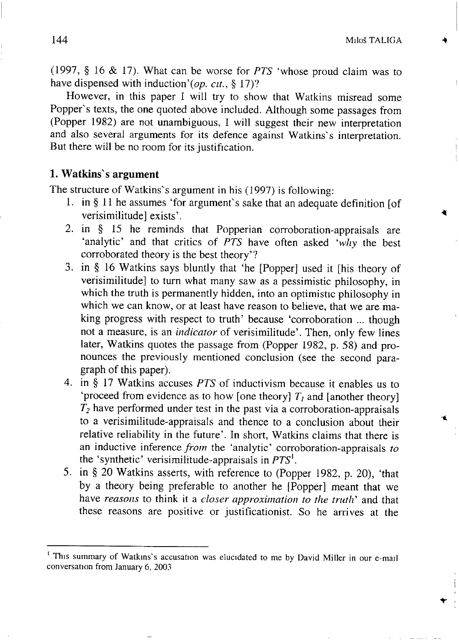(1997,  $§$  16 & 17). What can be worse for *PTS* 'whose proud claim was to have dispensed with induction'(op. cit., § 17)?

However, in this paper I will try to show that Watkins misread some Popper's texts, the one quoted above included. Although some passages from (Popper 1982) are not unambiguous, I will suggest their new interpretation and also several arguments for its defence against Watkins's interpretation. But there will be no room for its justification.

### **1. Watkins" s argument**

The structure of Watkins's argument in his (1997) is following:

- 1. in § 11 he assumes 'for argument's sake that an adequate definition  $[of]$ verisimilitude] exists'.
- 2. in  $§$  15 he reminds that Popperian corroboration-appraisals are 'analytic' and that critics of *PTS* have often asked 'why the best corroborated theory is the best theory'?
- 3. in § 16 Watkins says bluntly that 'he [Popper] used it [his theory of verisimilitude] to turn what many saw as a pessimistic philosophy, in which the truth is permanently hidden, into an optimistic philosophy in which we can know, or at least have reason to believe, that we are making progress with respect to truth' because 'corroboration ... though not a measure, is an *indicator* of verisimilitude'. Then, only few lines later, Watkins quotes the passage from (Popper 1982, p. 58) and pronounces the previously mentioned conclusion (see the second paragraph of this paper).
- 4. in § 17 Watkins accuses *PTS* of inductivism because it enables us to 'proceed from evidence as to how [one theory]  $T_l$  and [another theory] *T<sup>2</sup>* have performed under test in the past via a corroboration-appraisals to a verisimilitude-appraisals and thence to a conclusion about their relative reliability in the future'. In short, Watkins claims that there is an inductive inference *from* the 'analytic' corroboration-appraisals *to* the 'synthetic' verisimilitude-appraisals in *PTS<sup>1</sup> .*
- 5. in § 20 Watkins asserts, with reference to (Popper 1982, p. 20), 'that by a theory being preferable to another he [Popper] meant that we have *reasons* to think it a *closer approximation to the truth*' and that these reasons are positive or justificationist. So he arrives at the

<sup>&</sup>lt;sup>1</sup> This summary of Watkins's accusation was elucidated to me by David Miller in our e-mail conversation from January 6, 2003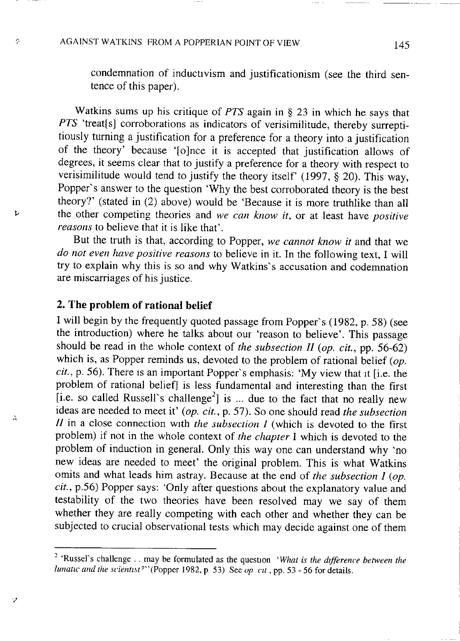÷

ı,

 $\overline{\mathbf{y}}$ 

v

condemnation of inductivism and justificationism (see the third sentence of this paper).

Watkins sums up his critique of *PTS* again in § 23 in which he says that *PTS* 'treat[s] corroborations as indicators of verisimilitude, thereby surreptitiously turning a justification for a preference for a theory into a justification of the theory' because '[o]nce it is accepted that justification allows of degrees, it seems clear that to justify a preference for a theory with respect to verisimilitude would tend to justify the theory itself' (1997,  $\S$  20). This way, Popper's answer to the question 'Why the best corroborated theory is the best theory?' (stated in (2) above) would be 'Because it is more truthlike than all the other competing theories and *we can know it*, or at least have *positive reasons* to believe that it is like that'.

But the truth is that, according to Popper, we cannot know it and that we *do not even have positive reasons* to believe in it. In the following text, I will try to explain why this is so and why Watkins's accusation and codemnation are miscarriages of his justice.

### **2. The problem of rational belief**

I will begin by the frequently quoted passage from Popper's (1982, p. 58) (see the introduction) where he talks about our 'reason to believe'. This passage should be read in the whole context of *the subsection II* (*op. cit., pp. 56-62*) which is, as Popper reminds us, devoted to the problem of rational belief  $(\rho p)$ . *cit.*, p. 56). There is an important Popper's emphasis: 'My view that it [i.e. the problem of rational belief] is less fundamental and interesting than the first [i.e. so called Russell's challenge<sup>2</sup>] is ... due to the fact that no really new ideas are needed to meet it' (op. cit., p. 57). So one should read *the subsection*  $II$  in a close connection with *the subsection*  $I$  (which is devoted to the first problem) if not in the whole context of *the chapter* I which is devoted to the problem of induction in general. Only this way one can understand why 'no new ideas are needed to meet' the original problem. This is what Watkins omits and what leads him astray. Because at the end of *the subsection I (op. cit.,* p.56) Popper says: 'Only after questions about the explanatory value and testability of the two theories have been resolved may we say of them whether they are really competing with each other and whether they can be subjected to crucial observational tests which may decide against one of them

<sup>&</sup>lt;sup>2</sup> 'Russel's challenge . . may be formulated as the question *'What is the difference between the lunatic and the scientist<sup>7</sup> ''(Popper* 1982, p 53) *See op at*, pp. 53 - 56 for details.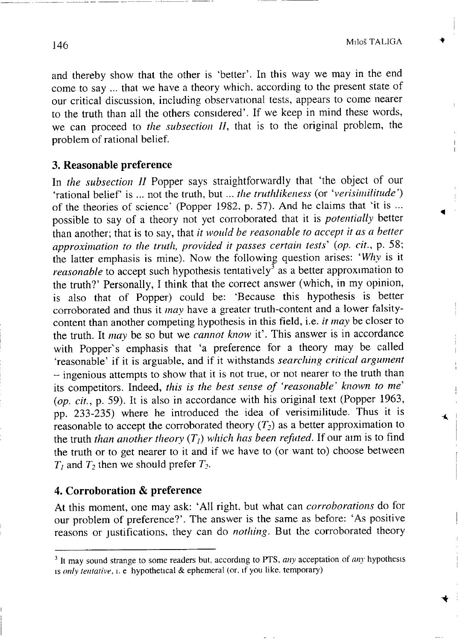Ă

and thereby show that the other is 'better'. In this way we may in the end come to say ... that we have a theory which, according to the present state of our critical discussion, including observational tests, appears to come nearer to the truth than all the others considered'. If we keep in mind these words, we can proceed to *the subsection II*, that is to the original problem, the problem of rational belief.

### **3. Reasonable preference**

In *the subsection II* Popper says straightforwardly that 'the object of our 'rational belief' is ... not the truth, but ... *the truthlikeness* (or 'verisimilitude') of the theories of science' (Popper 1982, p. 57). And he claims that 'it is ... possible to say of a theory not yet corroborated that it is *potentially* better than another; that is to say, that *it would be reasonable to accept it as a better approximation to the truth, provided it passes certain tests'' (op. cit.,* p. 58; the latter emphasis is mine). Now the following question arises: 'Why is it *reasonable* to accept such hypothesis tentatively<sup>3</sup> as a better approximation to the truth?' Personally, I think that the correct answer (which, in my opinion, is also that of Popper) could be: 'Because this hypothesis is better corroborated and thus it *may* have a greater truth-content and a lower falsitycontent than another competing hypothesis in this field, i.e. *it may* be closer to the truth. It *may* be so but we *cannot know* it'. This answer is in accordance with Popper's emphasis that 'a preference for a theory may be called 'reasonable' if it is arguable, and if it withstands *searching critical argument*  $-$  ingenious attempts to show that it is not true, or not nearer to the truth than its competitors. Indeed, *this is the best sense of 'reasonable' known to me' (op. cit.,* p. 59). It is also in accordance with his original text (Popper 1963, pp. 233-235) where he introduced the idea of verisimilitude. Thus it is reasonable to accept the corroborated theory *(T<sup>2</sup> )* a s a better approximation to the truth *than another theory*  $(T_i)$  *which has been refuted.* If our aim is to find the truth *man anomer theory*  $(T_f)$  which has been rejaical  $T$  on and  $t \in \mathcal{L}$  $T = \frac{1}{2}T^2 + T^2$  is a set *T*<sup>2</sup> is a set *T*<sup>2</sup>

### **4. Corroboration & preference**

At this moment, one may ask: 'All right, but what can *corroborations* do for our problem of preference?'. The answer is the same as before: 'As positive reasons or justifications, they can do *nothing*. But the corroborated theory

<sup>&</sup>lt;sup>3</sup> It may sound strange to some readers but, according to PTS, *any* acceptation of *any* hypothesis is *only tentative,* i. e hypothetical & ephemeral (or, if you like, temporary)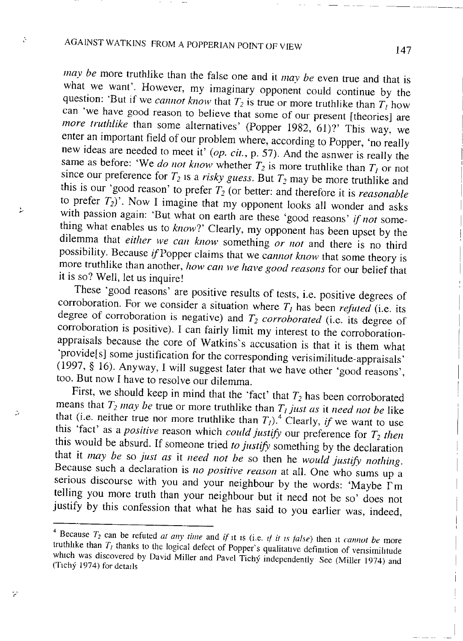A

Þ

D.

 $\ddot{\epsilon}$ 

*may be* more truthlike than the false one and it *may be* even true and that is what we want'. However, my imaginary opponent could continue by the question: But if we *cannot know* that *I*<sub>2</sub> is true or more truthlike than  $T<sub>l</sub>$  how can 'we have good reason to believe that some of our present [theories] are *more truthlike* than some alternatives' (Popper 1982, 61)?' This way, we enter an important field of our problem where, according to Popper, 'no really new ideas are needed to meet it' *(op. cit.*, p. 57). And the asnwer is really the same as before: 'We *do not know* whether  $T_2$  is more truthlike than  $T_1$  or not since our preference for  $T$ , is a victor success  $D_1/T$  and  $T_2$  and  $T_1$  or  $n$  $\frac{1}{2}$  is our 'good reason' to prefer  $T_2$  (or  $\frac{1}{2}$  may be more truthlike and  $\sum_{i=1}^{\infty}$  Now I imaging that my argument is a *reasonable* in the *T*<sub>2</sub><sup>*2</sup></sup></sup>* vith passion again: 'But what on earth are these faced wonder and ask thing what enables us to *know*?' Clearly, my opponent has been upset by the dilemma that either we can know something or not and there is no third possibility. Because *if* Popper claims that we *cannot know* that some theory is more truthlike than another, how can we have good reasons for our belief that it is so? Well, let us inquire!

These 'good reasons' are positive results of tests, i.e. positive degrees corroboration. For we consider a situation where  $T<sub>l</sub>$  has been *refuted* (i.e. its degree of corroboration is negative) and  $T_2$  *corroborated* (i.e. its degree of corroboration is positive). I can fairly limit my interest to the corroborationappraisals because the core of Watkins's accusation is that it is them what 'provide[s] some justification for the corresponding verisimilitude-appraisals'  $(1997, \S 16)$ . Anyway, I will suggest later that we have other 'good reasons', too. But now I have to resolve our dilemma.

First, we should keep in mind that the 'fact' that  $T_2$  has been corroborated means that  $T_2$  *may* be true or more truthlike than  $T_1$  *just as* it *need not* be like that (i.e. neither true nor more truthlike than  $T<sub>l</sub>$ )<sup>*A*</sup> Clearly, *if* we want to use this 'fact' as a *positive* reason which *could justify* our preference for  $T_2$  *then* this would be absurd. If someone tried *to justify* something by the declaration that it *may be* so *just as* it *need not be* so then he *would justify nothing*. Because such a declaration is *no positive reason* at all. One who sums up a serious discourse with you and your neighbour by the words: 'Maybe I'm telling you more truth than your neighbour but it need not be so' does not justify by this confession that what he has said to you earlier was, indeed,

because  $t_2$  can be refuted at any time and if it is (i.e. if it is false) then it cannot be mo truthlike than  $T<sub>I</sub>$  thanks to the logical defect of Popper's qualitative definition of verisimilitude which was discovered by David Miller and Pavel Tichy independently See (Miller 1974) and (Tichy 1974) and (Tichy 1974) for details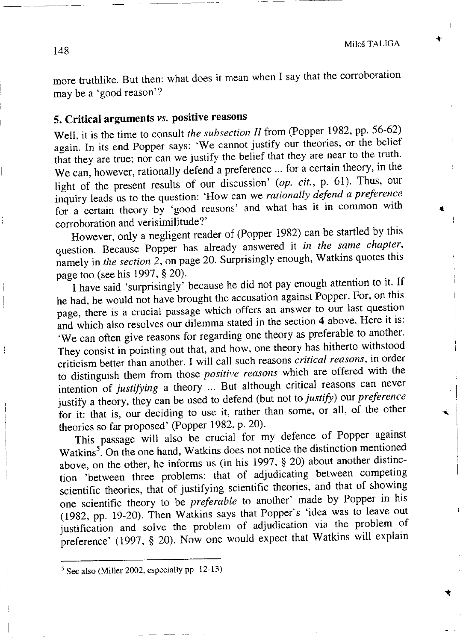more truthlike. But then: what does it mean when I say that the corroboration may be a 'good reason'?

## **5. Critical arguments vs. positive reasons**

Well, it is the time to consult *the subsection II* from (Popper 1982, pp. 56-62) again. In its end Popper says: 'We cannot justify our theories, or the belief that they are true; nor can we justify the belief that they are near to the truth. We can, however, rationally defend a preference ... for a certain theory, in the light of the present results of our discussion' (op. *cit.*, p. 61). Thus, our inquiry leads us to the question: 'How can we *rationally defend a preference* for a certain theory by 'good reasons' and what has it in common with corroboration and verisimilitude?'

However, only a negligent reader of (Popper 1982) can be startled by this question. Because Popper has already answered it *in the same chapter-,* namely in *the section 2,* on page 20. Surprisingly enough, Watkins quotes this page too (see his 1997, § 20).

I have said 'surprisingly' because he did not pay enough attention to it. If he had, he would not have brought the accusation against Popper. For, on this page, there is a crucial passage which offers an answer to our last question and which also resolves our dilemma stated in the section 4 above. Here it is: 'We can often give reasons for regarding one theory as preferable to another. They consist in pointing out that, and how, one theory has hitherto withstood criticism better than another. I will call such reasons *critical reasons,* in order to distinguish them from those *positive reasons* which are offered with the intention of *justifying* a theory ... But although critical reasons can never justify a theory, they can be used to defend (but not to *justify*) our *preference* for it: that is, our deciding to use it, rather than some, or all, of the other theories so far proposed' (Popper 1982. p. 20).

This passage will also be crucial for my defence of Popper against Watkins<sup>5</sup>. On the one hand, Watkins does not notice the distinction mention above, on the other, he informs us (in his 1997,  $\S$  20) about another distinction 'between three problems: that of adjudicating between competing scientific theories, that of justifying scientific theories, and that of showing one scientific theory to be *preferable* to another' made by Popper in his (1982, pp. 19-20). Then Watkins says that Popper's 'idea was to leave out justification and solve the problem of adjudication via the problem of preference' (1997, § 20). Now one would expect that Watkins will explain

 $<sup>5</sup>$  See also (Miller 2002, especially pp 12-13</sup>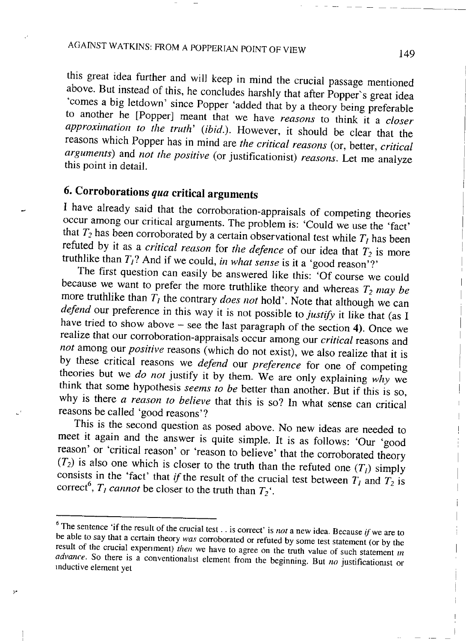# AGAINST WATKINS: FROM A POPPERIAN POINT OF VIEW 149

his great idea further and will keep in mind the crucial passage mentioned above. But instead of this, he concludes harshly that after Popper's great idea 'comes a big letdown' since Popper 'added that by a theory being preferable to another he [Popper] meant that we have *reasons* to think it a *closer approximation to the truth' (ibid.).* However, it should b e clear that the reasons which Popper has in mind are *the critical reasons* (or, better, *critical arguments*) and *not the positive* (or justificationist) *reasons*. Let me analyze this point in detail.

# **6. Corroborations** *qua* **critical arguments**

I have already said that the corroboration-appraisals of competing theories occur among our critical arguments. The problem is: 'Could we use the 'fact' that  $T_2$  has been corroborated by a certain observational test while  $T_1$  has been refuted by it as a *critical reason* for *the defence* of our idea that  $T_2$  is more truthlike than  $T_1$ ? And if we could, *in what sense* is it a 'good reason'?'

The first question can easily be answered like this: 'Of course we could because we want to prefer the more truthlike theory and whereas  $T_2$  *may be* more truthlike than  $T_l$  the contrary *does not* hold'. Note that although we can *defend* our preference in this way it is not possible to *justify* it like that (as I have tried to show above  $-$  see the last paragraph of the section 4). Once we realize that our corroboration-appraisals occur among our *critical* reasons and *not* among our *positive* reasons (which do not exist), we also realize that it is by these critical reasons we *defend* our *preference* for one of competing theories but we *do not* justify it by them. We are only explaining why we think that some hypothesis *seems to be* better than another. But if this is so, why is there *a reason to believe* that this is so? In what sense can critical reasons be called 'good reasons'?

This is the second question as posed above. No new ideas are needed to meet it again and the answer is quite simple. It is as follows: 'Our 'good reason' or 'critical reason' or 'reason to believe' that the corroborated theory  $(T_2)$  is also one which is closer to the truth than the refuted one  $(T_1)$  simply consists in the 'fact' that *if* the result of the crucial test between *T<sub>i</sub>* and  $T_2$ correct<sup>6</sup>,  $T_l$  *cannot* be closer to the truth than  $T_2$ <sup>'</sup>.

<sup>&</sup>lt;sup>6</sup> The sentence 'if the result of the crucial test. . is correct' is *not* a new idea. Because *if* we are to be able to say that a certain theory *was* corroborated or refuted by some test statement (or by the result of the crucial experiment) *then* we have to agree on the truth value of such statement *m advance.* So there is a conventionalist element from the beginning. But *no* justificationist or inductive element yet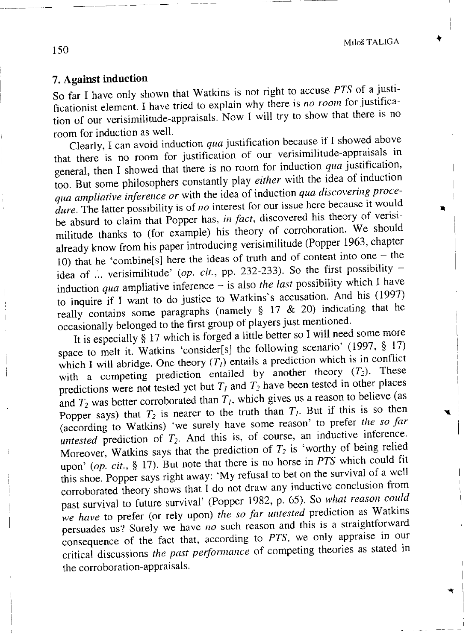### **7. Against induction**

So far I have only shown that Watkins is not right to accuse PTS of a justificationist element. I have tried to explain why there is *no room* for justification of our verisimilitude-appraisals. Now I will try to show that there is no room for induction as well.

Clearly, I can avoid induction *qua* justification because if 1 showed above that there is no room for justification of our verisimilitude-appraisals in general, then I showed that there is no room for induction *qua* justification, too But some philosophers constantly play *either* with the idea of induction *qua ampliative inference or* with the idea of induction *qua discovering proce*dure. The latter possibility is of *no* interest for our issue here because it would be absurd to claim that Popper has, *in fact*, discovered his theory of verisimilitude thanks to (for example) his theory of corroboration. We should already know from his paper introducing verisimilitude (Popper 1963, chapter 10) that he 'combine[s] here the ideas of truth and of content into one  $-$  the idea of ... verisimilitude' (op.  $\dot{c}$ it., pp. 232-233). So the first possibility induction *qua* ampliative inference - is also *the last* possibility which I have  $\frac{1}{2}$  induction quantum the intervals in  $\frac{1}{2}$  watkins's accusation. And his (19) really contains some paragraphs (namely  $\S$  17 & 20) indicating that he occasionally belonged to the first group of players just mentioned.

It is especially § 17 which is forged a little better so I will need some more space to melt it. Watkins 'consider[s] the following scenario' (1997, § 17) which I will abridge. One theory  $(T<sub>l</sub>)$  entails a prediction which is in conflict with a competing prediction entailed by another theory  $(T_2)$ . These predictions were not tested yet but  $T<sub>l</sub>$  and  $T<sub>2</sub>$  have been tested in other places and  $T_2$  was better corroborated than  $T_1$ , which gives us a reason to believe (as Popper says) that  $T_2$  is nearer to the truth than  $T_1$ . But if this is so then (according to Watkins) 'we surely have some reason' to prefer the so far *untested* prediction of  $T_2$ . And this is, of course, an inductive inference. Moreover, Watkins says that the prediction of  $T_2$  is 'worthy of being relied upon' (op. cit., § 17). But note that there is no horse in *PTS* which could fit this shoe. Popper says right away: 'My refusal to bet on the survival of a well corroborated theory shows that I do not draw any inductive conclusion from past survival to future survival' (Popper 1982, p. 65). So what reason could *we have* to prefer (or rely upon) *the so far untested* prediction as Watkins persuades us? Surely we have *no* such reason and this is a straightforward consequence of the fact that, according to PTS, we only appraise in our consequence of the fact that, according t o *PTS*, w e only appraise in our critical discussions *the past performance* of competing theories as stated in  $\frac{1}{1}$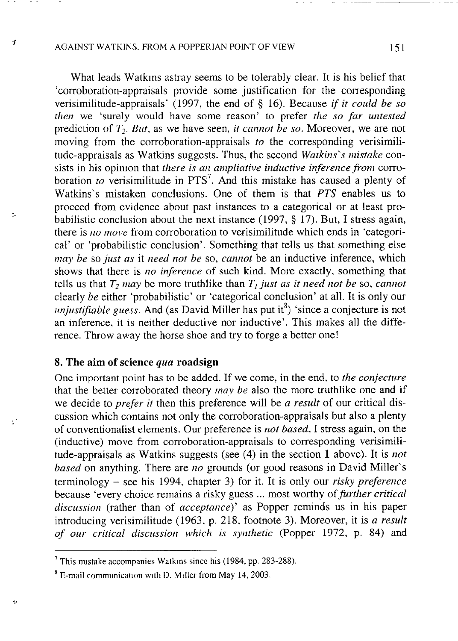#### AGAINST WATKINS. FROM A POPPERIAN POINT OF VIEW 151

 $\boldsymbol{t}$ 

×.

t.

What leads Watkins astray seems to be tolerably clear. It is his belief that 'corroboration-appraisals provide some justification for the corresponding verisimilitude-appraisals' (1997, the end of § 16). Because *if it could be so then* we 'surely would have some reason' to prefer the so far untested prediction of  $T_2$ . But, as we have seen, *it cannot be so*. Moreover, we are not moving from the corroboration-appraisals *to* the corresponding verisimilitude-appraisals as Watkins suggests. Thus, the second *Watkins"s mistake* consists in his opinion that *there is an ampliative inductive inference from* corroboration *to* verisimilitude in PTS<sup>7</sup> Watkins's mistaken conclusions. One of them is that  $PTS$  enables us to proceed from evidence about past instances to a categorical or at least probabilistic conclusion about the next instance  $(1997, \S 17)$ . But, I stress again, there is no move from corroboration to verisimilitude which ends in 'categorical' or 'probabilistic conclusion'. Something that tells us that something else may be so just as it need not be so, cannot be an inductive inference, which shows that there is *no inference* of such kind. More exactly, something that tells us that  $T_2$  *may* be more truthlike than  $T_1$  *just as it need not be* so, *cannot the either 'probabilistic'* or 'categorical conclusion' at all. It is only only *unjustifiable guess.* And (as David Miller has put it<sup>8</sup>) 'since a conjecture is not an inference, it is neither deductive nor inductive'. This makes all the diff rence. Throw away the horse shoe and try to forge a better one!

### **8. The aim of science** *qua* **roadsign**

One important point has to be added. If we come, in the end, to *the conjecture* that the better corroborated theory *may be* also the more truthlike one and if we decide to *prefer it* then this preference will be *a result* of our critical discussion which contains not only the corroboration-appraisals but also a plenty of conventionalist elements. Our preference is *not based*, I stress again, on the (inductive) move from corroboration-appraisals to corresponding verisimilitude-appraisals as Watkins suggests (see (4) in the section 1 above). It is *not based* on anything. There are *no* grounds (or good reasons in David Miller's terminology - see his 1994, chapter 3) for it. It is only our *risky preference* because 'every choice remains a risky guess ... most worthy of *further critical discussion* (rather than of *acceptance*)' as Popper reminds us in his paper introducing verisimilitude (1963, p. 218, footnote 3). Moreover, it is *a result of our critical discussion which is synthetic* (Popper 1972, p. 84) and

<sup>7</sup> This mistake accompanies Watkms since his (1984, pp. 283-288).

<sup>8</sup> E-mail communication with D. Miller from May 14, 2003.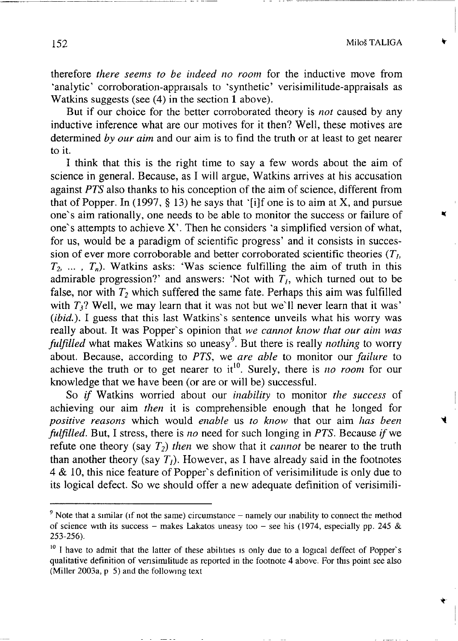therefore *there seems to be indeed no room* for the inductive move from 'analytic' corroboration-appraisals to 'synthetic' verisimilitude-appraisals as Watkins suggests (see (4) in the section 1 above).

But if our choice for the better corroborated theory is *not* caused by any inductive inference what are our motives for it then? Well, these motives are determined by our *aim* and our aim is to find the truth or at least to get nearer to it.

I think that this is the right time to say a few words about the aim of science in general. Because, as I will argue, Watkins arrives at his accusation against *PTS* also thanks to his conception of the aim of science, different from that of Popper. In (1997,  $\S$  13) he says that '[i]f one is to aim at X, and pursue one's aim rationally, one needs to be able to monitor the success or failure of one's attempts to achieve  $X'$ . Then he considers 'a simplified version of what, for us, would be a paradigm of scientific progress' and it consists in succession of ever more corroborable and better corroborated scientific theories  $(T<sub>l</sub>)$ ,  $T_2$ , ...,  $T_n$ ). Watkins asks: 'Was science fulfilling the aim of truth in this admirable progression?' and answers: 'Not with  $T<sub>l</sub>$ , which turned out to be false, nor with *T<sup>2</sup>* which suffered the same fate. Perhaps this aim was fulfilled with  $T_3$ ? Well, we may learn that it was not but we'll never learn that it was' *(ibid.).* I guess that this last Watkins's sentence unveils what his worry was really about. It was Popper's opinion that *we cannot know that our aim was fulfilled* what makes Watkins so uneasy<sup>9</sup>. But there is really *nothing* to wo about. Because, according to *PTS*, we *are able* to monitor our *failure* to achieve the truth or to get nearer to it<sup>10</sup>. Surely, there is *no room* for knowledge that we have been (or are or will be) successful.

So *if* Watkins worried about our *inability* to monitor *the success* of achieving our aim *then* it is comprehensible enough that he longed for *positive reasons* which would *enable* us to know that our aim has been *fulfilled*. But, I stress, there is *no* need for such longing in *PTS*. Because *if* we refute one theory (say  $T_2$ ) *then* we show that it *cannot* be nearer to the truth than another theory (say  $T_i$ ). However, as I have already said in the footnotes  $4 \& 10$ , this nice feature of Popper's definition of verisimilitude is only due to its logical defect. So we should offer a new adequate definition of verisimili-

 $9$  Note that a similar (if not the same) circumstance – namely our inability to connect the method of science with its success - makes Lakatos uneasy too - see his (1974, especially pp. 245 & 253-256).

 $10$  I have to admit that the latter of these abilities is only due to a logical deffect of Popper's qualitative definition of verisimilitude as reported in the footnote 4 above. For this point see also (Miller 2003a, p 5) and the following text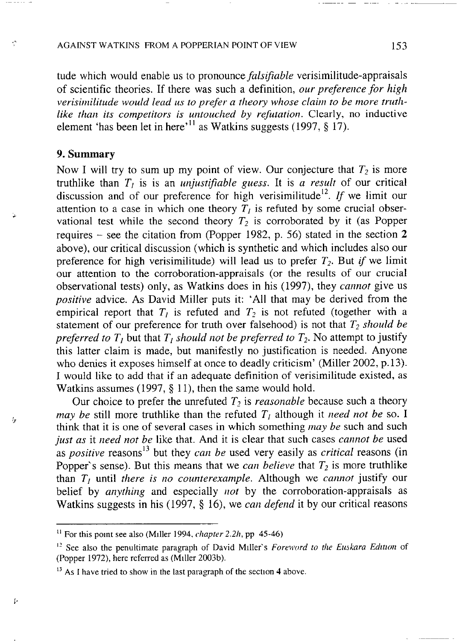#### AGAINST WATKINS FROM A POPPERIAN POINT OF VIEW 153

tude which would enable us to pronounce *falsifiable* verisimilitude-appraisals o f scientific theories. If there was such a definition, *our preference for high verisimilitude would lead us to prefer a theory whose claim to be more truthlike than its competitors is untouched by refutation.* Clearly, no inductive element 'has been let in here' <sup>11</sup> as Watkins suggests (1997, § 17

### **9. Summary**

Ą

ţ,

Þ

Now I will try to sum up my point of view. Our conjecture that  $T_2$  is m truthlike than  $T_i$  is is an *unjustifiable* guess. It is *a result* of our critical discussion and of our preference for high verisimilitude<sup>12</sup>. If we limit our attention to a case in which one theory  $T_l$  is refuted by some crucial observational test while the second theory  $T_2$  is corroborated by it (as Popper requires – see the citation from (Popper 1982, p. 56) stated in the section  $2$ above), our critical discussion (which is synthetic and which includes also our preference for high verisimilitude) will lead us to prefer  $T_2$ . But *if* we limit our attention to the corroboration-appraisals (or the results of our crucial observational tests) only, as Watkins does in his (1997), they *cannot* give us *positive* advice. As David Miller puts it: 'All that may be derived from the empirical report that  $T_l$  is refuted and  $T_2$  is not refuted (together with a statement of our preference for truth over falsehood) is not that  $T_2$  should be preferred to  $T_i$  but that  $T_i$  *should not be preferred to*  $T_i$ . No attempt to justify *this latter claim is made, but manifestly no justification is needed. Anyone* who denies it exposes himself at once to deadly criticism' (Miller 2002, p.13). I would like to add that if an adequate definition of verisimilitude existed, as Watkins assumes (1997,  $\S$  11), then the same would hold.

Our choice to prefer the unrefuted  $T_2$  is *reasonable* because such a theory *may be* still more truthlike than the refuted  $T_I$  although it *need not be* so. think that it is one of several cases in which something *may be* such and such *just as* it *need not be* like that. And it is clear that such cases *cannot be* used as *positive* reasons<sup>13</sup> but they *can be* used very easily as *critical* reasons ( Popper's sense). But this means that we *can believe* that  $T_2$  is more truthlike than  $T<sub>l</sub>$  until *there is no counterexample*. Although we *cannot* justify our belief by *anything* and especially *not* by the corroboration-appraisals as Watkins suggests in his (1997, § 16), we *can defend* it by our critical reasons

<sup>&</sup>lt;sup>11</sup> For this point see also (Miller 1994, *chapter* 2.2h, pp 45-46)

<sup>1 2</sup> See also the penultimate paragraph of David Milleť s *Foreword to the Euskara Edition* of (Popper 1972), here referred as (Miller 2003b).

 $13$  As I have tried to show in the last paragraph of the section 4 above.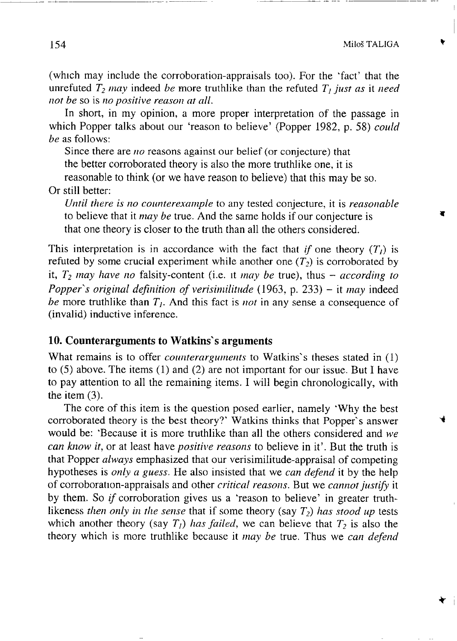(which may include the corroboration-appraisals too). For the 'fact' that the unrefuted  $T_2$  *may* indeed *be* more truthlike than the refuted  $T_j$  *just as* it *need not be* so is *no positive reason at all.*

In short, in my opinion, a more proper interpretation of the passage in which Popper talks about our 'reason to believe' (Popper 1982, p. 58) *could be* as follows:

Since there are *no* reasons against our belief (or conjecture) that the better corroborated theory is also the more truthlike one, it is reasonable to think (or we have reason to believe) that this may be so.

Or still better:

*Until there is no counterexample* to any tested conjecture, it is *reasonable* to believe that it *may be* true. And the same holds if our conjecture is that one theory is closer to the truth than all the others considered.

This interpretation is in accordance with the fact that *if* one theory  $(T<sub>l</sub>)$  is refuted by some crucial experiment while another one  $(T_2)$  is corroborated by it,  $T_2$  *may* have no falsity-content (i.e. it *may be* true), thus  $-$  *according to Popper's original definition of verisimilitude* (1963, p. 233) – it *may* indeed *be* more truthlike than  $T_i$ . And this fact is *not* in any sense a consequence of (invalid) inductive inference.

#### **10. Counterarguments to Watkins s arguments**

What remains is to offer *counterarguments* to Watkins's theses stated in (1) to (5) above. The items (1) and (2) are not important for our issue. But I have to pay attention to all the remaining items. I will begin chronologically, with the item (3).

The core of this item is the question posed earlier, namely 'Why the best corroborated theory is the best theory?' Watkins thinks that Popper's answer would be: 'Because it is more truthlike than all the others considered and we *can know it,* or at least have *positive reasons* to believe in it'. But the truth is that Popper *always* emphasized that our verisimilitude-appraisal of competing hypotheses is *only a guess*. He also insisted that we *can defend* it by the help o f corroboration-appraisals and other *critical reasons.* Butw e *cannot justify* it by them. So *if* corroboration gives us a 'reason to believe' in greater truthlikeness *then only in the sense* that if some theory (say *T<sup>2</sup> ) has stood up* tests which another theory (say  $T_l$ ) *has failed*, we can believe that  $T_2$  is also t theory which is more truthlike because it *may be* true. Thus we *can defend* 

**\***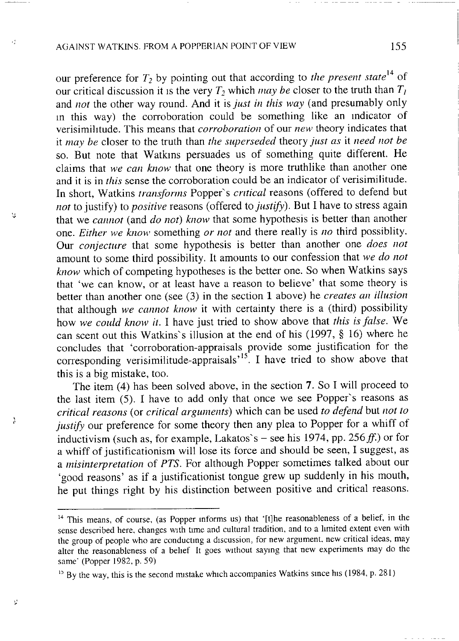### AGAINST WATKINS. FROM A POPPERIAN POINT OF VIEW 155

 $\epsilon$ 

'n.

 $\lambda$ 

V

our preference for  $T_2$  by pointing out that according to *the present state*<sup>17</sup> our critical discussion it is the very  $T_2$  which *may be* closer to the truth than  $T_1$ and *not* the other way round. And it is *just in this way* (and presumably only in this way) the corroboration could be something like an indicator of verisimilitude. This means that *corroboration* of our *new* theory indicates that it *may be* closer to the truth than *the superseded* theory *just as* it *need not be* so. But note that Watkins persuades us of something quite different. He claims that *we can know* that one theory is more truthlike than another one and it is in *this* sense the corroboration could be an indicator of verisimilitude. In short, Watkins *transforms* Popper's *critical* reasons (offered to defend but *not* to justify) to *positive* reasons (offered to *justify).* But I have to stress again that we *cannot* (and *do not*) *know* that some hypothesis is better than another one. *Either* we know something or not and there really is no third possiblity. Our *conjecture* that some hypothesis is better than another one *does not* amount to some third possibility. It amounts to our confession that *we do not know* which of competing hypotheses is the better one. So when Watkins says that 'we can know, or at least have a reason to believe' that some theory is better than another one (see (3) in the section 1 above) he *creates an illusion* that although *we cannot know* it with certainty there is a (third) possibility how *we could know it.* I have just tried to show above that *this is false.* W e can scent out this Watkins's illusion at the end of his (1997,  $§$  16) where he concludes that 'corroboration-appraisals provide some justification for the corresponding verisimilitude-appraisals<sup> $\sim$ </sup>. I have tried to show above the this is a big mistake, too.

The item (4) has been solved above, in the section 7. So I will proceed to the last item  $(5)$ . I have to add only that once we see Popper's reasons as *critical reasons* (or *critical arguments*) which can be used *to defend* but *not to justify* our preference for some theory then any plea to Popper for a whiff of inductivism (such as, for example, Lakatos`s – see his 1974, pp. 256 ff.) or fo a whiff of justificationism will lose its force and should be seen, I suggest, as a *misinterpretation* of PTS. For although Popper sometimes talked about our 'good reasons' as if a justificationist tongue grew up suddenly in his mouth, he put things right by his distinction between positive and critical reasons.

معشور والمرابي

<sup>&</sup>lt;sup>14</sup> This means, of course, (as Popper informs us) that '[t]he reasonableness of a belief, in the sense described here, changes with time and cultural tradition, and to a limited extent even with the group of people who are conducting a discussion, for new argument, new critical ideas, may alter the reasonableness of a belief It goes without saying that new experiments may do the same' (Popper 1982, p. 59)

<sup>&</sup>lt;sup>15</sup> By the way, this is the second mistake which accompanies Watkins since his (1984, p. 281)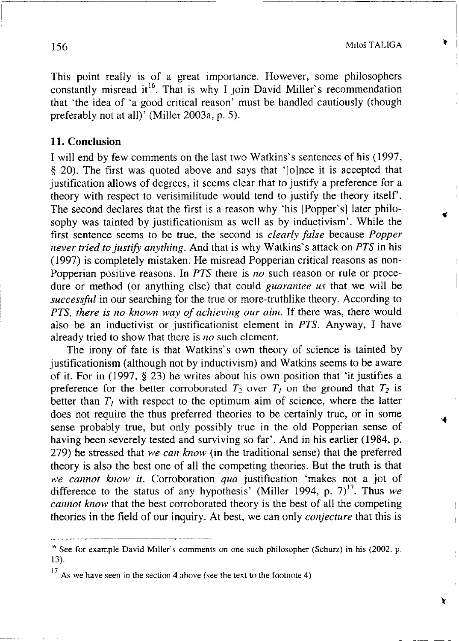This point really is of a great importance. However, some philosophers constantly misread it<sup>to</sup>. That is why I join David Miller's recommendation that 'the idea of 'a good critical reason' must be handled cautiously (though preferably not at all)' (Miller 2003a, p. 5).

#### **11. Conclusion**

I will end by few comments on the last two Watkins`s sentences of his (19! § 20). The first was quoted above and says that '[o]nce it is accepted that justification allows of degrees, it seems clear that to justify a preference for a theory with respect to verisimilitude would tend to justify the theory itself'. The second declares that the first is a reason why 'his [Popper's] later philosophy was tainted by justificationism as well as by inductivism'. While the first sentence seems to be true, the second is *clearly false* because *Popper never tried to justify anything.* And that is why Watkins's attack on *PTS* in his  $(1997)$  is completely mistaken. He misread Popperian critical reasons as non-Popperian positive reasons. In *PTS* there is *no* such reason or rule or procedure or method (or anything else) that could *guarantee us* that we will be *successful* in our searching for the true or more-truthlike theory. According to *PTS, there is no known way of achieving our aim.* If there was, there would also be an inductivist or justificationist element in *PTS*. Anyway, I have already tried to show that there is *no* such element.

The irony of fate is that Watkins's own theory of science is tainted by justificationism (although not by inductivism) and Watkins seems to be aware of it. For in  $(1997, \S 23)$  he writes about his own position that 'it justifies a preference for the better corroborated  $T_2$  over  $T_1$  on the ground that  $T_2$  is better than  $T_t$  with respect to the optimum aim of science, where the latter does not require the thus preferred theories to be certainly true, or in some sense probably true, but only possibly true in the old Popperian sense of having been severely tested and surviving so far'. And in his earlier (1984, p. 279) he stressed that we can know (in the traditional sense) that the preferred theory is also the best one of all the competing theories. But the truth is that we cannot know it. Corroboration qua justification 'makes not a jot of difference to the status of any hypothesis' (Miller 1994, p. 7)<sup>17</sup>. Thus we difference to the status of any hypothesis' (Miller 1994, p. *1)*. Thus *chances* in the field of our inquiry. At best, we can only *conjecture* that this is theories i n the field o f our inquiry. A t best, w e can only *conjecture* that this is

 $16$  See for example David Miller's comments on one such philosopher (Schurz) in his (2002, p. 13).

<sup>17</sup> As we have seen in the section **<sup>4</sup>** above (see the text to the footnote 4)